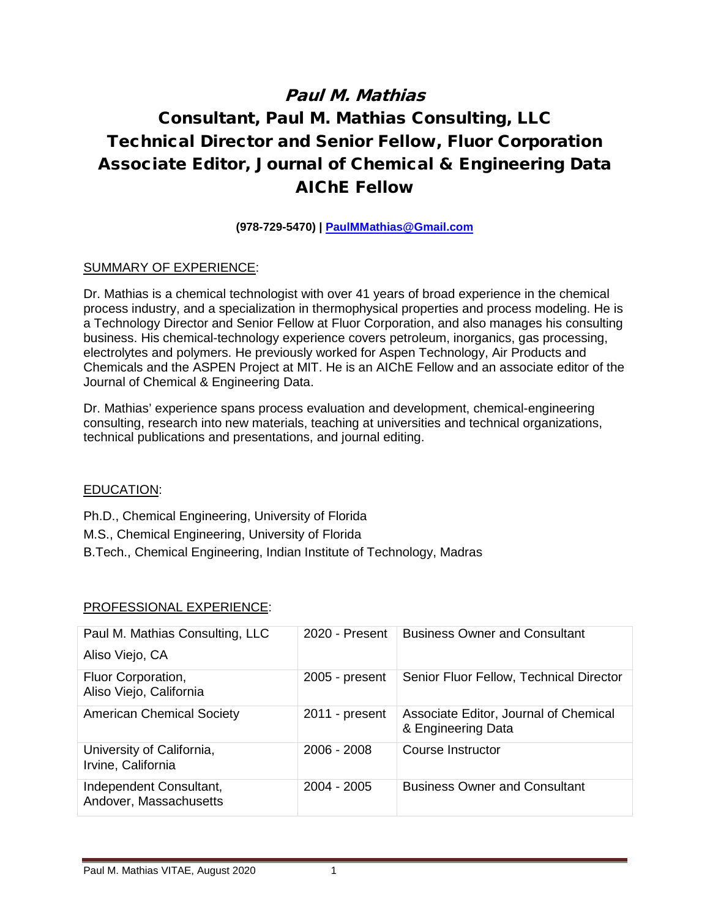## Paul M. Mathias

# Consultant, Paul M. Mathias Consulting, LLC Technical Director and Senior Fellow, Fluor Corporation Associate Editor, Journal of Chemical & Engineering Data AIChE Fellow

### **(978-729-5470) | [PaulMMathias@Gmail.com](about:blank)**

### SUMMARY OF EXPERIENCE:

Dr. Mathias is a chemical technologist with over 41 years of broad experience in the chemical process industry, and a specialization in thermophysical properties and process modeling. He is a Technology Director and Senior Fellow at Fluor Corporation, and also manages his consulting business. His chemical-technology experience covers petroleum, inorganics, gas processing, electrolytes and polymers. He previously worked for Aspen Technology, Air Products and Chemicals and the ASPEN Project at MIT. He is an AIChE Fellow and an associate editor of the Journal of Chemical & Engineering Data.

Dr. Mathias' experience spans process evaluation and development, chemical-engineering consulting, research into new materials, teaching at universities and technical organizations, technical publications and presentations, and journal editing.

#### EDUCATION:

Ph.D., Chemical Engineering, University of Florida M.S., Chemical Engineering, University of Florida B.Tech., Chemical Engineering, Indian Institute of Technology, Madras

| Paul M. Mathias Consulting, LLC<br>Aliso Viejo, CA | 2020 - Present   | <b>Business Owner and Consultant</b>                        |
|----------------------------------------------------|------------------|-------------------------------------------------------------|
| Fluor Corporation,<br>Aliso Viejo, California      | $2005$ - present | Senior Fluor Fellow, Technical Director                     |
| <b>American Chemical Society</b>                   | 2011 - present   | Associate Editor, Journal of Chemical<br>& Engineering Data |
| University of California,<br>Irvine, California    | $2006 - 2008$    | Course Instructor                                           |
| Independent Consultant,<br>Andover, Massachusetts  | $2004 - 2005$    | <b>Business Owner and Consultant</b>                        |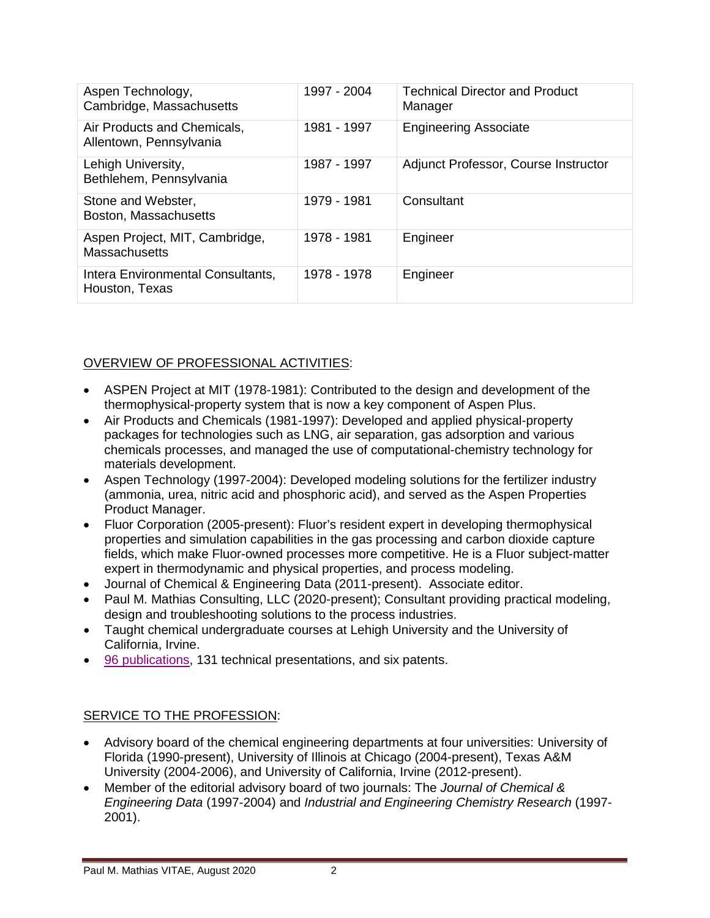| Aspen Technology,<br>Cambridge, Massachusetts          | 1997 - 2004 | <b>Technical Director and Product</b><br>Manager |
|--------------------------------------------------------|-------------|--------------------------------------------------|
| Air Products and Chemicals,<br>Allentown, Pennsylvania | 1981 - 1997 | <b>Engineering Associate</b>                     |
| Lehigh University,<br>Bethlehem, Pennsylvania          | 1987 - 1997 | Adjunct Professor, Course Instructor             |
| Stone and Webster,<br>Boston, Massachusetts            | 1979 - 1981 | Consultant                                       |
| Aspen Project, MIT, Cambridge,<br><b>Massachusetts</b> | 1978 - 1981 | Engineer                                         |
| Intera Environmental Consultants,<br>Houston, Texas    | 1978 - 1978 | Engineer                                         |

## OVERVIEW OF PROFESSIONAL ACTIVITIES:

- ASPEN Project at MIT (1978-1981): Contributed to the design and development of the thermophysical-property system that is now a key component of Aspen Plus.
- Air Products and Chemicals (1981-1997): Developed and applied physical-property packages for technologies such as LNG, air separation, gas adsorption and various chemicals processes, and managed the use of computational-chemistry technology for materials development.
- Aspen Technology (1997-2004): Developed modeling solutions for the fertilizer industry (ammonia, urea, nitric acid and phosphoric acid), and served as the Aspen Properties Product Manager.
- Fluor Corporation (2005-present): Fluor's resident expert in developing thermophysical properties and simulation capabilities in the gas processing and carbon dioxide capture fields, which make Fluor-owned processes more competitive. He is a Fluor subject-matter expert in thermodynamic and physical properties, and process modeling.
- Journal of Chemical & Engineering Data (2011-present). Associate editor.
- Paul M. Mathias Consulting, LLC (2020-present); Consultant providing practical modeling, design and troubleshooting solutions to the process industries.
- Taught chemical undergraduate courses at Lehigh University and the University of California, Irvine.
- 96 [publications,](https://scholar.google.com/citations?user=_PNNdPwAAAAJ&hl=en&oi=ao) 131 technical presentations, and six patents.

## SERVICE TO THE PROFESSION:

- Advisory board of the chemical engineering departments at four universities: University of Florida (1990-present), University of Illinois at Chicago (2004-present), Texas A&M University (2004-2006), and University of California, Irvine (2012-present).
- Member of the editorial advisory board of two journals: The *Journal of Chemical & Engineering Data* (1997-2004) and *Industrial and Engineering Chemistry Research* (1997- 2001).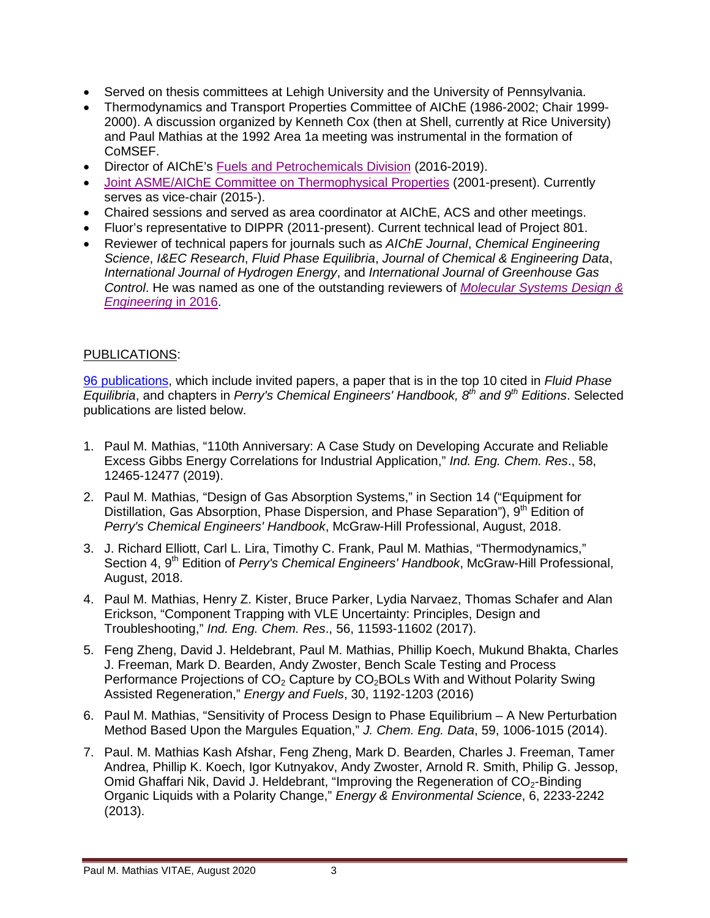- Served on thesis committees at Lehigh University and the University of Pennsylvania.
- Thermodynamics and Transport Properties Committee of AIChE (1986-2002; Chair 1999- 2000). A discussion organized by Kenneth Cox (then at Shell, currently at Rice University) and Paul Mathias at the 1992 Area 1a meeting was instrumental in the formation of CoMSEF.
- Director of AIChE's [Fuels and Petrochemicals Division](https://www.aiche.org/community/sites/divisions/fuels-and-petrochemicals) (2016-2019).
- [Joint ASME/AIChE Committee on Thermophysical Properties](https://sites.google.com/site/asmeaichethermophyscommittee/) (2001-present). Currently serves as vice-chair (2015-).
- Chaired sessions and served as area coordinator at AIChE, ACS and other meetings.
- Fluor's representative to DIPPR (2011-present). Current technical lead of Project 801.
- Reviewer of technical papers for journals such as *AIChE Journal*, *Chemical Engineering Science*, *I&EC Research*, *Fluid Phase Equilibria*, *Journal of Chemical & Engineering Data*, *International Journal of Hydrogen Energy*, and *International Journal of Greenhouse Gas Control*. He was named as one of the outstanding reviewers of *[Molecular Systems Design &](https://pubs.rsc.org/en/content/articlehtml/2017/me/c7me90006f)  [Engineering](https://pubs.rsc.org/en/content/articlehtml/2017/me/c7me90006f)* in 2016.

## PUBLICATIONS:

96 [publications,](https://scholar.google.com/citations?user=_PNNdPwAAAAJ&hl=en&oi=ao) which include invited papers, a paper that is in the top 10 cited in *Fluid Phase Equilibria*, and chapters in *Perry's Chemical Engineers' Handbook, 8th and 9th Editions*. Selected publications are listed below.

- 1. Paul M. Mathias, "110th Anniversary: A Case Study on Developing Accurate and Reliable Excess Gibbs Energy Correlations for Industrial Application," *Ind. Eng. Chem. Res*., 58, 12465-12477 (2019).
- 2. Paul M. Mathias, "Design of Gas Absorption Systems," in Section 14 ("Equipment for Distillation, Gas Absorption, Phase Dispersion, and Phase Separation"), 9<sup>th</sup> Edition of *Perry's Chemical Engineers' Handbook*, McGraw-Hill Professional, August, 2018.
- 3. J. Richard Elliott, Carl L. Lira, Timothy C. Frank, Paul M. Mathias, "Thermodynamics," Section 4, 9<sup>th</sup> Edition of *Perry's Chemical Engineers' Handbook*, McGraw-Hill Professional, August, 2018.
- 4. Paul M. Mathias, Henry Z. Kister, Bruce Parker, Lydia Narvaez, Thomas Schafer and Alan Erickson, "Component Trapping with VLE Uncertainty: Principles, Design and Troubleshooting," *Ind. Eng. Chem. Res*., 56, 11593-11602 (2017).
- 5. Feng Zheng, David J. Heldebrant, Paul M. Mathias, Phillip Koech, Mukund Bhakta, Charles J. Freeman, Mark D. Bearden, Andy Zwoster, Bench Scale Testing and Process Performance Projections of  $CO<sub>2</sub>$  Capture by  $CO<sub>2</sub>BOLs$  With and Without Polarity Swing Assisted Regeneration," *Energy and Fuels*, 30, 1192-1203 (2016)
- 6. Paul M. Mathias, "Sensitivity of Process Design to Phase Equilibrium A New Perturbation Method Based Upon the Margules Equation," *J. Chem. Eng. Data*, 59, 1006-1015 (2014).
- 7. Paul. M. Mathias Kash Afshar, Feng Zheng, Mark D. Bearden, Charles J. Freeman, Tamer Andrea, Phillip K. Koech, Igor Kutnyakov, Andy Zwoster, Arnold R. Smith, Philip G. Jessop, Omid Ghaffari Nik, David J. Heldebrant, "Improving the Regeneration of CO<sub>2</sub>-Binding Organic Liquids with a Polarity Change," *Energy & Environmental Science*, 6, 2233-2242 (2013).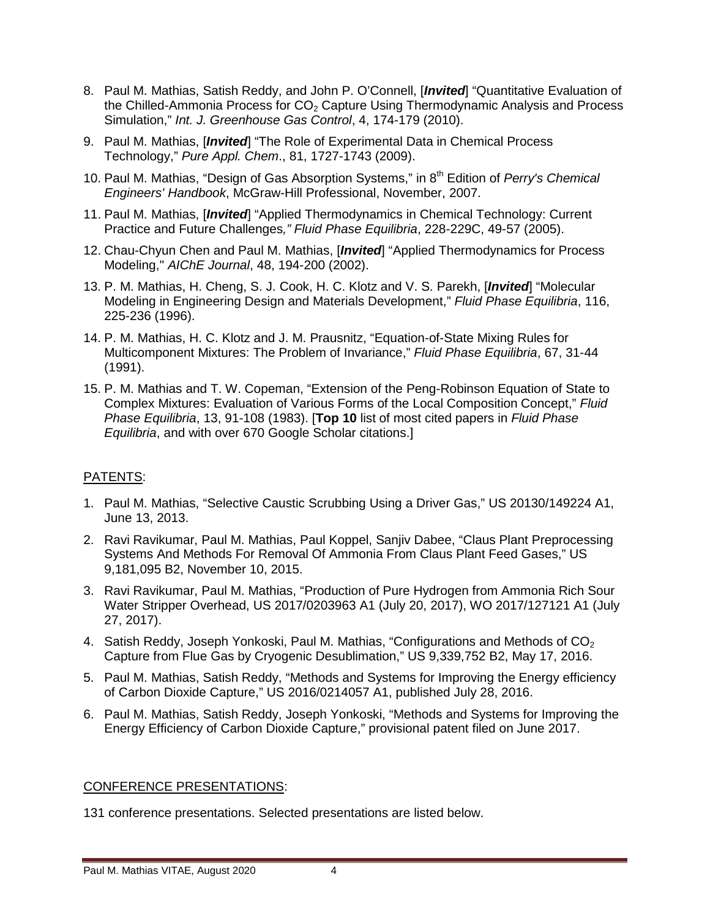- 8. Paul M. Mathias, Satish Reddy, and John P. O'Connell, [*Invited*] "Quantitative Evaluation of the Chilled-Ammonia Process for  $CO<sub>2</sub>$  Capture Using Thermodynamic Analysis and Process Simulation," *Int. J. Greenhouse Gas Control*, 4, 174-179 (2010).
- 9. Paul M. Mathias, [*Invited*] "The Role of Experimental Data in Chemical Process Technology," *Pure Appl. Chem*., 81, 1727-1743 (2009).
- 10. Paul M. Mathias, "Design of Gas Absorption Systems," in 8<sup>th</sup> Edition of *Perry's Chemical Engineers' Handbook*, McGraw-Hill Professional, November, 2007.
- 11. Paul M. Mathias, [*Invited*] "Applied Thermodynamics in Chemical Technology: Current Practice and Future Challenges*," Fluid Phase Equilibria*, 228-229C, 49-57 (2005).
- 12. Chau-Chyun Chen and Paul M. Mathias, [*Invited*] "Applied Thermodynamics for Process Modeling," *AIChE Journal*, 48, 194-200 (2002).
- 13. P. M. Mathias, H. Cheng, S. J. Cook, H. C. Klotz and V. S. Parekh, [*Invited*] "Molecular Modeling in Engineering Design and Materials Development," *Fluid Phase Equilibria*, 116, 225-236 (1996).
- 14. P. M. Mathias, H. C. Klotz and J. M. Prausnitz, "Equation-of-State Mixing Rules for Multicomponent Mixtures: The Problem of Invariance," *Fluid Phase Equilibria*, 67, 31-44 (1991).
- 15. P. M. Mathias and T. W. Copeman, "Extension of the Peng-Robinson Equation of State to Complex Mixtures: Evaluation of Various Forms of the Local Composition Concept," *Fluid Phase Equilibria*, 13, 91-108 (1983). [**Top 10** list of most cited papers in *Fluid Phase Equilibria*, and with over 670 Google Scholar citations.]

## PATENTS:

- 1. Paul M. Mathias, "Selective Caustic Scrubbing Using a Driver Gas," US 20130/149224 A1, June 13, 2013.
- 2. Ravi Ravikumar, Paul M. Mathias, Paul Koppel, Sanjiv Dabee, "Claus Plant Preprocessing Systems And Methods For Removal Of Ammonia From Claus Plant Feed Gases," US 9,181,095 B2, November 10, 2015.
- 3. Ravi Ravikumar, Paul M. Mathias, "Production of Pure Hydrogen from Ammonia Rich Sour Water Stripper Overhead, US 2017/0203963 A1 (July 20, 2017), WO 2017/127121 A1 (July 27, 2017).
- 4. Satish Reddy, Joseph Yonkoski, Paul M. Mathias, "Configurations and Methods of  $CO<sub>2</sub>$ Capture from Flue Gas by Cryogenic Desublimation," US 9,339,752 B2, May 17, 2016.
- 5. Paul M. Mathias, Satish Reddy, "Methods and Systems for Improving the Energy efficiency of Carbon Dioxide Capture," US 2016/0214057 A1, published July 28, 2016.
- 6. Paul M. Mathias, Satish Reddy, Joseph Yonkoski, "Methods and Systems for Improving the Energy Efficiency of Carbon Dioxide Capture," provisional patent filed on June 2017.

## CONFERENCE PRESENTATIONS:

131 conference presentations. Selected presentations are listed below.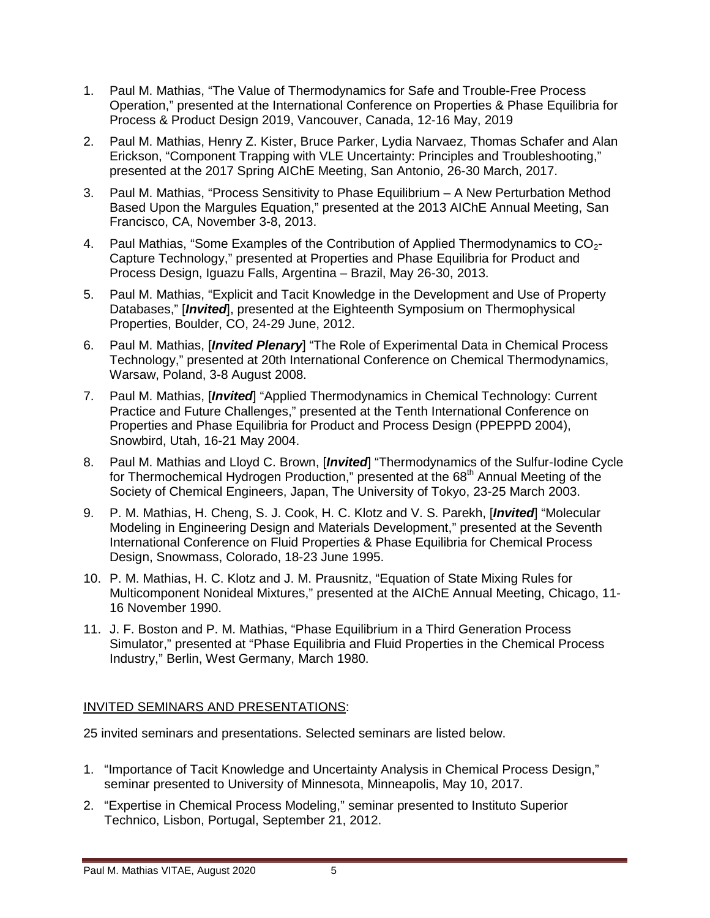- 1. Paul M. Mathias, "The Value of Thermodynamics for Safe and Trouble-Free Process Operation," presented at the International Conference on Properties & Phase Equilibria for Process & Product Design 2019, Vancouver, Canada, 12-16 May, 2019
- 2. Paul M. Mathias, Henry Z. Kister, Bruce Parker, Lydia Narvaez, Thomas Schafer and Alan Erickson, "Component Trapping with VLE Uncertainty: Principles and Troubleshooting," presented at the 2017 Spring AIChE Meeting, San Antonio, 26-30 March, 2017.
- 3. Paul M. Mathias, "Process Sensitivity to Phase Equilibrium A New Perturbation Method Based Upon the Margules Equation," presented at the 2013 AIChE Annual Meeting, San Francisco, CA, November 3-8, 2013.
- 4. Paul Mathias, "Some Examples of the Contribution of Applied Thermodynamics to  $CO_{2}$ -Capture Technology," presented at Properties and Phase Equilibria for Product and Process Design, Iguazu Falls, Argentina – Brazil, May 26-30, 2013.
- 5. Paul M. Mathias, "Explicit and Tacit Knowledge in the Development and Use of Property Databases," [*Invited*], presented at the Eighteenth Symposium on Thermophysical Properties, Boulder, CO, 24-29 June, 2012.
- 6. Paul M. Mathias, [*Invited Plenary*] "The Role of Experimental Data in Chemical Process Technology," presented at 20th International Conference on Chemical Thermodynamics, Warsaw, Poland, 3-8 August 2008.
- 7. Paul M. Mathias, [*Invited*] "Applied Thermodynamics in Chemical Technology: Current Practice and Future Challenges," presented at the Tenth International Conference on Properties and Phase Equilibria for Product and Process Design (PPEPPD 2004), Snowbird, Utah, 16-21 May 2004.
- 8. Paul M. Mathias and Lloyd C. Brown, [*Invited*] "Thermodynamics of the Sulfur-Iodine Cycle for Thermochemical Hydrogen Production," presented at the 68<sup>th</sup> Annual Meeting of the Society of Chemical Engineers, Japan, The University of Tokyo, 23-25 March 2003.
- 9. P. M. Mathias, H. Cheng, S. J. Cook, H. C. Klotz and V. S. Parekh, [*Invited*] "Molecular Modeling in Engineering Design and Materials Development," presented at the Seventh International Conference on Fluid Properties & Phase Equilibria for Chemical Process Design, Snowmass, Colorado, 18-23 June 1995.
- 10. P. M. Mathias, H. C. Klotz and J. M. Prausnitz, "Equation of State Mixing Rules for Multicomponent Nonideal Mixtures," presented at the AIChE Annual Meeting, Chicago, 11- 16 November 1990.
- 11. J. F. Boston and P. M. Mathias, "Phase Equilibrium in a Third Generation Process Simulator," presented at "Phase Equilibria and Fluid Properties in the Chemical Process Industry," Berlin, West Germany, March 1980.

## INVITED SEMINARS AND PRESENTATIONS:

25 invited seminars and presentations. Selected seminars are listed below.

- 1. "Importance of Tacit Knowledge and Uncertainty Analysis in Chemical Process Design," seminar presented to University of Minnesota, Minneapolis, May 10, 2017.
- 2. "Expertise in Chemical Process Modeling," seminar presented to Instituto Superior Technico, Lisbon, Portugal, September 21, 2012.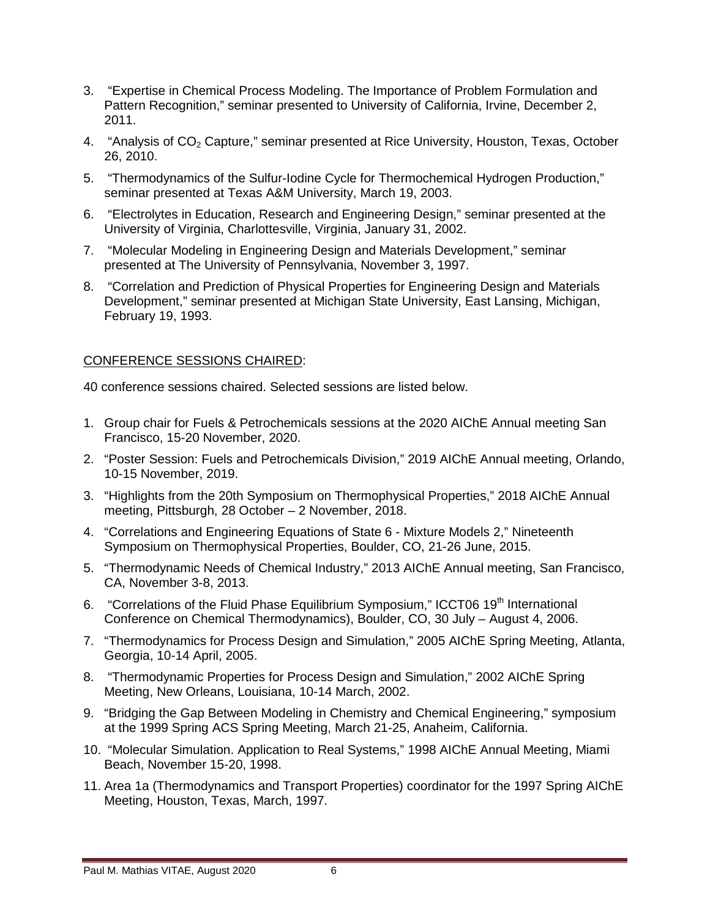- 3. "Expertise in Chemical Process Modeling. The Importance of Problem Formulation and Pattern Recognition," seminar presented to University of California, Irvine, December 2, 2011.
- 4. "Analysis of CO<sub>2</sub> Capture," seminar presented at Rice University, Houston, Texas, October 26, 2010.
- 5. "Thermodynamics of the Sulfur-Iodine Cycle for Thermochemical Hydrogen Production," seminar presented at Texas A&M University, March 19, 2003.
- 6. "Electrolytes in Education, Research and Engineering Design," seminar presented at the University of Virginia, Charlottesville, Virginia, January 31, 2002.
- 7. "Molecular Modeling in Engineering Design and Materials Development," seminar presented at The University of Pennsylvania, November 3, 1997.
- 8. "Correlation and Prediction of Physical Properties for Engineering Design and Materials Development," seminar presented at Michigan State University, East Lansing, Michigan, February 19, 1993.

### CONFERENCE SESSIONS CHAIRED:

40 conference sessions chaired. Selected sessions are listed below.

- 1. Group chair for Fuels & Petrochemicals sessions at the 2020 AIChE Annual meeting San Francisco, 15-20 November, 2020.
- 2. "Poster Session: Fuels and Petrochemicals Division," 2019 AIChE Annual meeting, Orlando, 10-15 November, 2019.
- 3. "Highlights from the 20th Symposium on Thermophysical Properties," 2018 AIChE Annual meeting, Pittsburgh, 28 October – 2 November, 2018.
- 4. "Correlations and Engineering Equations of State 6 Mixture Models 2," Nineteenth Symposium on Thermophysical Properties, Boulder, CO, 21-26 June, 2015.
- 5. "Thermodynamic Needs of Chemical Industry," 2013 AIChE Annual meeting, San Francisco, CA, November 3-8, 2013.
- 6. "Correlations of the Fluid Phase Equilibrium Symposium," ICCT06 19<sup>th</sup> International Conference on Chemical Thermodynamics), Boulder, CO, 30 July – August 4, 2006.
- 7. "Thermodynamics for Process Design and Simulation," 2005 AIChE Spring Meeting, Atlanta, Georgia, 10-14 April, 2005.
- 8. "Thermodynamic Properties for Process Design and Simulation," 2002 AIChE Spring Meeting, New Orleans, Louisiana, 10-14 March, 2002.
- 9. "Bridging the Gap Between Modeling in Chemistry and Chemical Engineering," symposium at the 1999 Spring ACS Spring Meeting, March 21-25, Anaheim, California.
- 10. "Molecular Simulation. Application to Real Systems," 1998 AIChE Annual Meeting, Miami Beach, November 15-20, 1998.
- 11. Area 1a (Thermodynamics and Transport Properties) coordinator for the 1997 Spring AIChE Meeting, Houston, Texas, March, 1997.